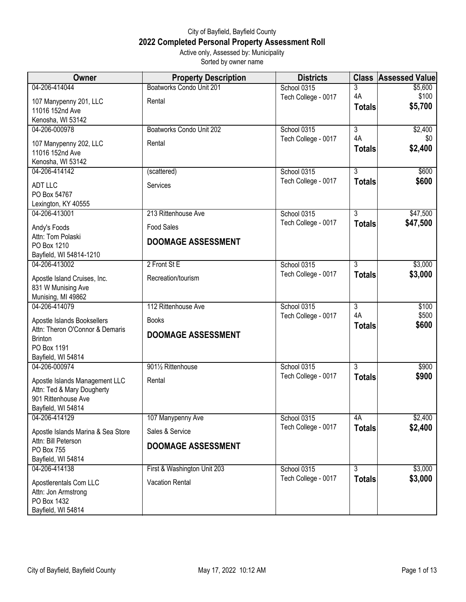## City of Bayfield, Bayfield County **2022 Completed Personal Property Assessment Roll** Active only, Assessed by: Municipality

Sorted by owner name

| Owner                                             | <b>Property Description</b> | <b>Districts</b>                   | <b>Class</b>                    | <b>Assessed Value</b> |
|---------------------------------------------------|-----------------------------|------------------------------------|---------------------------------|-----------------------|
| 04-206-414044                                     | Boatworks Condo Unit 201    | School 0315                        | 3                               | \$5,600               |
| 107 Manypenny 201, LLC                            | Rental                      | Tech College - 0017                | 4A                              | \$100                 |
| 11016 152nd Ave                                   |                             |                                    | <b>Totals</b>                   | \$5,700               |
| Kenosha, WI 53142                                 |                             |                                    |                                 |                       |
| 04-206-000978                                     | Boatworks Condo Unit 202    | School 0315                        | $\overline{3}$<br>4A            | \$2,400               |
| 107 Manypenny 202, LLC                            | Rental                      | Tech College - 0017                | <b>Totals</b>                   | \$0<br>\$2,400        |
| 11016 152nd Ave                                   |                             |                                    |                                 |                       |
| Kenosha, WI 53142                                 |                             |                                    |                                 |                       |
| 04-206-414142                                     | (scattered)                 | School 0315<br>Tech College - 0017 | $\overline{3}$<br><b>Totals</b> | \$600<br>\$600        |
| <b>ADT LLC</b>                                    | Services                    |                                    |                                 |                       |
| PO Box 54767                                      |                             |                                    |                                 |                       |
| Lexington, KY 40555<br>04-206-413001              | 213 Rittenhouse Ave         | School 0315                        | $\overline{3}$                  | \$47,500              |
|                                                   |                             | Tech College - 0017                | <b>Totals</b>                   | \$47,500              |
| Andy's Foods<br>Attn: Tom Polaski                 | <b>Food Sales</b>           |                                    |                                 |                       |
| PO Box 1210                                       | <b>DOOMAGE ASSESSMENT</b>   |                                    |                                 |                       |
| Bayfield, WI 54814-1210                           |                             |                                    |                                 |                       |
| 04-206-413002                                     | 2 Front St E                | School 0315                        | $\overline{3}$                  | \$3,000               |
| Apostle Island Cruises, Inc.                      | Recreation/tourism          | Tech College - 0017                | <b>Totals</b>                   | \$3,000               |
| 831 W Munising Ave                                |                             |                                    |                                 |                       |
| Munising, MI 49862                                |                             |                                    |                                 |                       |
| 04-206-414079                                     | 112 Rittenhouse Ave         | School 0315                        | $\overline{3}$                  | \$100                 |
| Apostle Islands Booksellers                       | <b>Books</b>                | Tech College - 0017                | 4A                              | \$500                 |
| Attn: Theron O'Connor & Demaris                   | <b>DOOMAGE ASSESSMENT</b>   |                                    | <b>Totals</b>                   | \$600                 |
| <b>Brinton</b>                                    |                             |                                    |                                 |                       |
| PO Box 1191                                       |                             |                                    |                                 |                       |
| Bayfield, WI 54814<br>04-206-000974               | 9011/2 Rittenhouse          | School 0315                        | $\overline{3}$                  | \$900                 |
|                                                   |                             | Tech College - 0017                | <b>Totals</b>                   | \$900                 |
| Apostle Islands Management LLC                    | Rental                      |                                    |                                 |                       |
| Attn: Ted & Mary Dougherty<br>901 Rittenhouse Ave |                             |                                    |                                 |                       |
| Bayfield, WI 54814                                |                             |                                    |                                 |                       |
| 04-206-414129                                     | 107 Manypenny Ave           | School 0315                        | 4A                              | \$2,400               |
| Apostle Islands Marina & Sea Store                | Sales & Service             | Tech College - 0017                | <b>Totals</b>                   | \$2,400               |
| Attn: Bill Peterson                               |                             |                                    |                                 |                       |
| PO Box 755                                        | <b>DOOMAGE ASSESSMENT</b>   |                                    |                                 |                       |
| Bayfield, WI 54814                                |                             |                                    |                                 |                       |
| 04-206-414138                                     | First & Washington Unit 203 | School 0315                        | $\overline{3}$                  | \$3,000               |
| Apostlerentals Com LLC                            | Vacation Rental             | Tech College - 0017                | <b>Totals</b>                   | \$3,000               |
| Attn: Jon Armstrong                               |                             |                                    |                                 |                       |
| PO Box 1432                                       |                             |                                    |                                 |                       |
| Bayfield, WI 54814                                |                             |                                    |                                 |                       |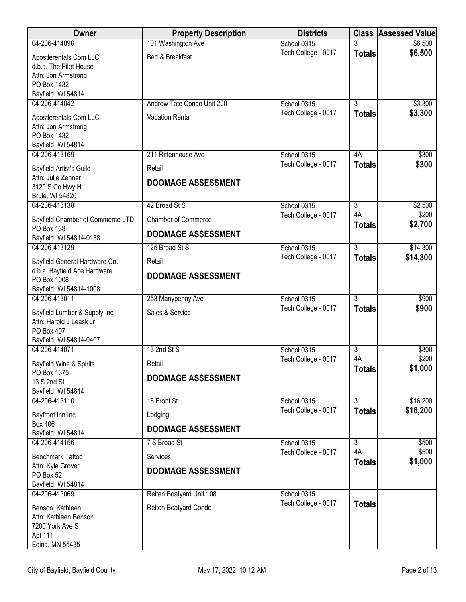| Owner                                        | <b>Property Description</b> | <b>Districts</b>                   |                           | <b>Class Assessed Value</b> |
|----------------------------------------------|-----------------------------|------------------------------------|---------------------------|-----------------------------|
| 04-206-414090                                | 101 Washington Ave          | School 0315                        | 3                         | \$6,500                     |
| Apostlerentals Com LLC                       | Bed & Breakfast             | Tech College - 0017                | <b>Totals</b>             | \$6,500                     |
| d.b.a. The Pilot House                       |                             |                                    |                           |                             |
| Attn: Jon Armstrong<br>PO Box 1432           |                             |                                    |                           |                             |
| Bayfield, WI 54814                           |                             |                                    |                           |                             |
| 04-206-414042                                | Andrew Tate Condo Unit 200  | School 0315                        | $\overline{\overline{3}}$ | \$3,300                     |
| Apostlerentals Com LLC                       | <b>Vacation Rental</b>      | Tech College - 0017                | <b>Totals</b>             | \$3,300                     |
| Attn: Jon Armstrong                          |                             |                                    |                           |                             |
| PO Box 1432<br>Bayfield, WI 54814            |                             |                                    |                           |                             |
| 04-206-413169                                | 211 Rittenhouse Ave         | School 0315                        | 4A                        | \$300                       |
| Bayfield Artist's Guild                      | Retail                      | Tech College - 0017                | <b>Totals</b>             | \$300                       |
| Attn: Julie Zenner                           | <b>DOOMAGE ASSESSMENT</b>   |                                    |                           |                             |
| 3120 S Co Hwy H                              |                             |                                    |                           |                             |
| Brule, WI 54820<br>04-206-413138             | 42 Broad St S               | School 0315                        | $\overline{3}$            | \$2,500                     |
| Bayfield Chamber of Commerce LTD             | <b>Chamber of Commerce</b>  | Tech College - 0017                | 4A                        | \$200                       |
| <b>PO Box 138</b>                            |                             |                                    | <b>Totals</b>             | \$2,700                     |
| Bayfield, WI 54814-0138                      | <b>DOOMAGE ASSESSMENT</b>   |                                    |                           |                             |
| 04-206-413129                                | 125 Broad St S              | School 0315                        | $\overline{3}$            | \$14,300                    |
| Bayfield General Hardware Co.                | Retail                      | Tech College - 0017                | <b>Totals</b>             | \$14,300                    |
| d.b.a. Bayfield Ace Hardware<br>PO Box 1008  | <b>DOOMAGE ASSESSMENT</b>   |                                    |                           |                             |
| Bayfield, WI 54814-1008                      |                             |                                    |                           |                             |
| 04-206-413011                                | 253 Manypenny Ave           | School 0315                        | 3                         | \$900                       |
| Bayfield Lumber & Supply Inc                 | Sales & Service             | Tech College - 0017                | <b>Totals</b>             | \$900                       |
| Attn: Harold J Leask Jr                      |                             |                                    |                           |                             |
| PO Box 407<br>Bayfield, WI 54814-0407        |                             |                                    |                           |                             |
| 04-206-414071                                | 13 2nd St S                 | School 0315                        | $\overline{3}$            | \$800                       |
| Bayfield Wine & Spirits                      | Retail                      | Tech College - 0017                | 4A                        | \$200                       |
| PO Box 1375                                  | <b>DOOMAGE ASSESSMENT</b>   |                                    | <b>Totals</b>             | \$1,000                     |
| 13 S 2nd St<br>Bayfield, WI 54814            |                             |                                    |                           |                             |
| 04-206-413110                                | 15 Front St                 | School 0315                        | $\overline{3}$            | \$16,200                    |
| Bayfront Inn Inc                             | Lodging                     | Tech College - 0017                | <b>Totals</b>             | \$16,200                    |
| <b>Box 406</b>                               | <b>DOOMAGE ASSESSMENT</b>   |                                    |                           |                             |
| Bayfield, WI 54814<br>04-206-414156          | 7 S Broad St                | School 0315                        | $\overline{3}$            | \$500                       |
|                                              |                             | Tech College - 0017                | 4A                        | \$500                       |
| <b>Benchmark Tattoo</b><br>Attn: Kyle Grover | Services                    |                                    | <b>Totals</b>             | \$1,000                     |
| PO Box 52                                    | <b>DOOMAGE ASSESSMENT</b>   |                                    |                           |                             |
| Bayfield, WI 54814                           |                             |                                    |                           |                             |
| 04-206-413069                                | Reiten Boatyard Unit 108    | School 0315<br>Tech College - 0017 |                           |                             |
| Benson, Kathleen                             | Reiten Boatyard Condo       |                                    | <b>Totals</b>             |                             |
| Attn: Kathleen Benson<br>7200 York Ave S     |                             |                                    |                           |                             |
| Apt 111                                      |                             |                                    |                           |                             |
| Edina, MN 55435                              |                             |                                    |                           |                             |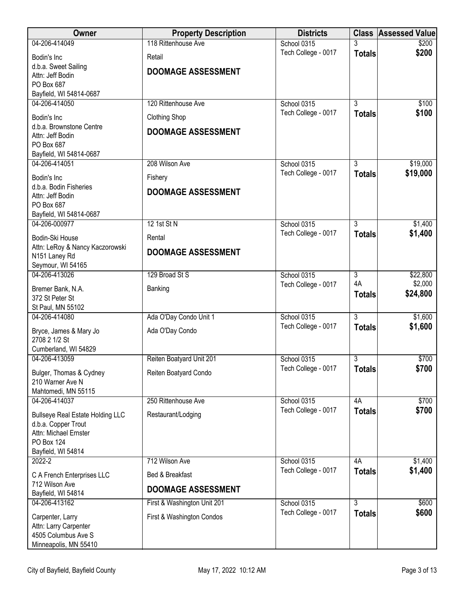| Owner                                        | <b>Property Description</b> | <b>Districts</b>                   |                | <b>Class Assessed Value</b> |
|----------------------------------------------|-----------------------------|------------------------------------|----------------|-----------------------------|
| 04-206-414049                                | 118 Rittenhouse Ave         | School 0315                        |                | \$200                       |
| Bodin's Inc                                  | Retail                      | Tech College - 0017                | <b>Totals</b>  | \$200                       |
| d.b.a. Sweet Sailing                         | <b>DOOMAGE ASSESSMENT</b>   |                                    |                |                             |
| Attn: Jeff Bodin<br>PO Box 687               |                             |                                    |                |                             |
| Bayfield, WI 54814-0687                      |                             |                                    |                |                             |
| 04-206-414050                                | 120 Rittenhouse Ave         | School 0315                        | $\overline{3}$ | \$100                       |
| Bodin's Inc                                  | <b>Clothing Shop</b>        | Tech College - 0017                | <b>Totals</b>  | \$100                       |
| d.b.a. Brownstone Centre                     |                             |                                    |                |                             |
| Attn: Jeff Bodin                             | <b>DOOMAGE ASSESSMENT</b>   |                                    |                |                             |
| PO Box 687                                   |                             |                                    |                |                             |
| Bayfield, WI 54814-0687<br>04-206-414051     | 208 Wilson Ave              | School 0315                        | 3              | \$19,000                    |
|                                              |                             | Tech College - 0017                | <b>Totals</b>  | \$19,000                    |
| Bodin's Inc<br>d.b.a. Bodin Fisheries        | Fishery                     |                                    |                |                             |
| Attn: Jeff Bodin                             | <b>DOOMAGE ASSESSMENT</b>   |                                    |                |                             |
| PO Box 687                                   |                             |                                    |                |                             |
| Bayfield, WI 54814-0687                      |                             |                                    |                |                             |
| 04-206-000977                                | 12 1st St N                 | School 0315                        | $\overline{3}$ | \$1,400                     |
| Bodin-Ski House                              | Rental                      | Tech College - 0017                | <b>Totals</b>  | \$1,400                     |
| Attn: LeRoy & Nancy Kaczorowski              | <b>DOOMAGE ASSESSMENT</b>   |                                    |                |                             |
| N151 Laney Rd<br>Seymour, WI 54165           |                             |                                    |                |                             |
| 04-206-413026                                | 129 Broad St S              | School 0315                        | $\overline{3}$ | \$22,800                    |
| Bremer Bank, N.A.                            |                             | Tech College - 0017                | 4A             | \$2,000                     |
| 372 St Peter St                              | Banking                     |                                    | <b>Totals</b>  | \$24,800                    |
| St Paul, MN 55102                            |                             |                                    |                |                             |
| 04-206-414080                                | Ada O'Day Condo Unit 1      | School 0315                        | $\overline{3}$ | \$1,600                     |
| Bryce, James & Mary Jo                       | Ada O'Day Condo             | Tech College - 0017                | <b>Totals</b>  | \$1,600                     |
| 2708 2 1/2 St                                |                             |                                    |                |                             |
| Cumberland, WI 54829                         |                             |                                    |                |                             |
| 04-206-413059                                | Reiten Boatyard Unit 201    | School 0315                        | 3              | \$700                       |
| Bulger, Thomas & Cydney                      | Reiten Boatyard Condo       | Tech College - 0017                | <b>Totals</b>  | \$700                       |
| 210 Warner Ave N                             |                             |                                    |                |                             |
| Mahtomedi, MN 55115<br>04-206-414037         | 250 Rittenhouse Ave         |                                    | 4A             | \$700                       |
|                                              |                             | School 0315<br>Tech College - 0017 | <b>Totals</b>  | \$700                       |
| <b>Bullseye Real Estate Holding LLC</b>      | Restaurant/Lodging          |                                    |                |                             |
| d.b.a. Copper Trout<br>Attn: Michael Ernster |                             |                                    |                |                             |
| PO Box 124                                   |                             |                                    |                |                             |
| Bayfield, WI 54814                           |                             |                                    |                |                             |
| 2022-2                                       | 712 Wilson Ave              | School 0315                        | 4A             | \$1,400                     |
| C A French Enterprises LLC                   | Bed & Breakfast             | Tech College - 0017                | <b>Totals</b>  | \$1,400                     |
| 712 Wilson Ave                               | <b>DOOMAGE ASSESSMENT</b>   |                                    |                |                             |
| Bayfield, WI 54814                           |                             |                                    | $\overline{3}$ |                             |
| 04-206-413162                                | First & Washington Unit 201 | School 0315<br>Tech College - 0017 | <b>Totals</b>  | \$600<br>\$600              |
| Carpenter, Larry                             | First & Washington Condos   |                                    |                |                             |
| Attn: Larry Carpenter<br>4505 Columbus Ave S |                             |                                    |                |                             |
| Minneapolis, MN 55410                        |                             |                                    |                |                             |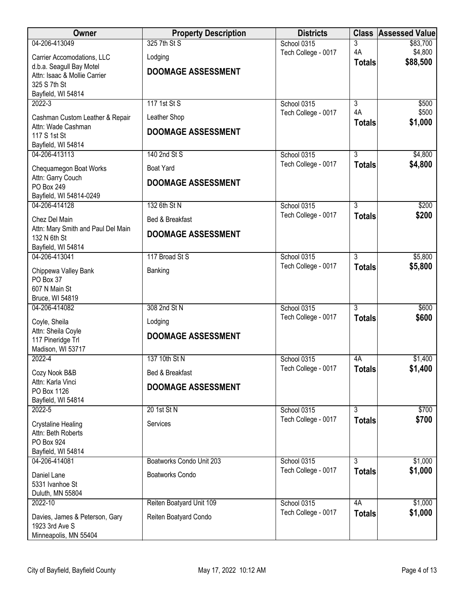| Owner                                              | <b>Property Description</b> | <b>Districts</b>                   |                                 | <b>Class Assessed Value</b> |
|----------------------------------------------------|-----------------------------|------------------------------------|---------------------------------|-----------------------------|
| 04-206-413049                                      | 325 7th St S                | School 0315                        | 3                               | \$83,700                    |
| Carrier Accomodations, LLC                         | Lodging                     | Tech College - 0017                | 4A<br><b>Totals</b>             | \$4,800<br>\$88,500         |
| d.b.a. Seagull Bay Motel                           | <b>DOOMAGE ASSESSMENT</b>   |                                    |                                 |                             |
| Attn: Isaac & Mollie Carrier<br>325 S 7th St       |                             |                                    |                                 |                             |
| Bayfield, WI 54814                                 |                             |                                    |                                 |                             |
| $2022 - 3$                                         | 117 1st St S                | School 0315                        | $\overline{3}$                  | \$500                       |
| Cashman Custom Leather & Repair                    | Leather Shop                | Tech College - 0017                | 4A                              | \$500                       |
| Attn: Wade Cashman                                 | <b>DOOMAGE ASSESSMENT</b>   |                                    | <b>Totals</b>                   | \$1,000                     |
| 117 S 1st St<br>Bayfield, WI 54814                 |                             |                                    |                                 |                             |
| 04-206-413113                                      | 140 2nd St S                | School 0315                        | $\overline{3}$                  | \$4,800                     |
| Chequamegon Boat Works                             | <b>Boat Yard</b>            | Tech College - 0017                | <b>Totals</b>                   | \$4,800                     |
| Attn: Garry Couch                                  |                             |                                    |                                 |                             |
| PO Box 249                                         | <b>DOOMAGE ASSESSMENT</b>   |                                    |                                 |                             |
| Bayfield, WI 54814-0249                            |                             |                                    |                                 |                             |
| 04-206-414128                                      | 132 6th St N                | School 0315<br>Tech College - 0017 | $\overline{3}$<br><b>Totals</b> | \$200<br>\$200              |
| Chez Del Main                                      | Bed & Breakfast             |                                    |                                 |                             |
| Attn: Mary Smith and Paul Del Main<br>132 N 6th St | <b>DOOMAGE ASSESSMENT</b>   |                                    |                                 |                             |
| Bayfield, WI 54814                                 |                             |                                    |                                 |                             |
| 04-206-413041                                      | 117 Broad St S              | School 0315                        | $\overline{3}$                  | \$5,800                     |
| Chippewa Valley Bank                               | Banking                     | Tech College - 0017                | <b>Totals</b>                   | \$5,800                     |
| PO Box 37                                          |                             |                                    |                                 |                             |
| 607 N Main St<br>Bruce, WI 54819                   |                             |                                    |                                 |                             |
| 04-206-414082                                      | 308 2nd St N                | School 0315                        | $\overline{3}$                  | \$600                       |
| Coyle, Sheila                                      | Lodging                     | Tech College - 0017                | <b>Totals</b>                   | \$600                       |
| Attn: Sheila Coyle                                 | <b>DOOMAGE ASSESSMENT</b>   |                                    |                                 |                             |
| 117 Pineridge Trl                                  |                             |                                    |                                 |                             |
| Madison, WI 53717<br>$2022 - 4$                    | 137 10th St N               | School 0315                        | 4A                              | \$1,400                     |
|                                                    | Bed & Breakfast             | Tech College - 0017                | <b>Totals</b>                   | \$1,400                     |
| Cozy Nook B&B<br>Attn: Karla Vinci                 |                             |                                    |                                 |                             |
| PO Box 1126                                        | <b>DOOMAGE ASSESSMENT</b>   |                                    |                                 |                             |
| Bayfield, WI 54814                                 |                             |                                    |                                 |                             |
| $2022 - 5$                                         | 20 1st St N                 | School 0315<br>Tech College - 0017 | $\overline{3}$<br><b>Totals</b> | \$700<br>\$700              |
| <b>Crystaline Healing</b>                          | Services                    |                                    |                                 |                             |
| Attn: Beth Roberts<br>PO Box 924                   |                             |                                    |                                 |                             |
| Bayfield, WI 54814                                 |                             |                                    |                                 |                             |
| 04-206-414081                                      | Boatworks Condo Unit 203    | School 0315                        | $\overline{3}$                  | \$1,000                     |
| Daniel Lane                                        | <b>Boatworks Condo</b>      | Tech College - 0017                | <b>Totals</b>                   | \$1,000                     |
| 5331 Ivanhoe St                                    |                             |                                    |                                 |                             |
| Duluth, MN 55804<br>2022-10                        | Reiten Boatyard Unit 109    | School 0315                        | 4A                              | \$1,000                     |
|                                                    |                             | Tech College - 0017                | <b>Totals</b>                   | \$1,000                     |
| Davies, James & Peterson, Gary<br>1923 3rd Ave S   | Reiten Boatyard Condo       |                                    |                                 |                             |
| Minneapolis, MN 55404                              |                             |                                    |                                 |                             |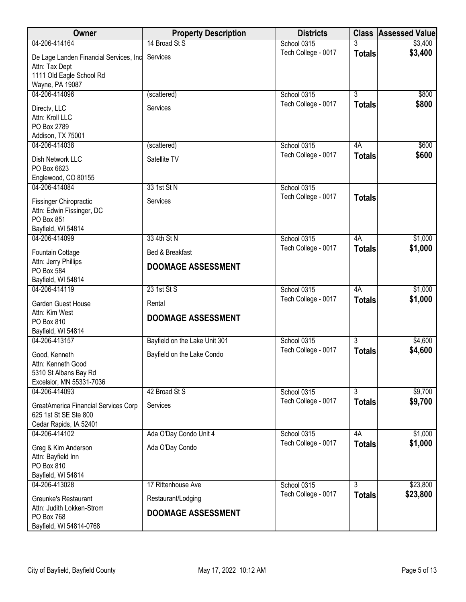| Owner                                                                                   | <b>Property Description</b>   | <b>Districts</b>    |                           | <b>Class Assessed Value</b> |
|-----------------------------------------------------------------------------------------|-------------------------------|---------------------|---------------------------|-----------------------------|
| 04-206-414164                                                                           | 14 Broad St S                 | School 0315         | 3                         | \$3,400                     |
| De Lage Landen Financial Services, Inc<br>Attn: Tax Dept                                | Services                      | Tech College - 0017 | <b>Totals</b>             | \$3,400                     |
| 1111 Old Eagle School Rd                                                                |                               |                     |                           |                             |
| Wayne, PA 19087                                                                         |                               |                     |                           |                             |
| 04-206-414096                                                                           | (scattered)                   | School 0315         | $\overline{3}$            | \$800                       |
| Directv, LLC<br>Attn: Kroll LLC<br>PO Box 2789                                          | Services                      | Tech College - 0017 | <b>Totals</b>             | \$800                       |
| Addison, TX 75001                                                                       |                               |                     |                           |                             |
| 04-206-414038                                                                           | (scattered)                   | School 0315         | 4A                        | \$600                       |
| Dish Network LLC<br>PO Box 6623<br>Englewood, CO 80155                                  | Satellite TV                  | Tech College - 0017 | <b>Totals</b>             | \$600                       |
| 04-206-414084                                                                           | 33 1st St N                   | School 0315         |                           |                             |
| Fissinger Chiropractic<br>Attn: Edwin Fissinger, DC<br>PO Box 851<br>Bayfield, WI 54814 | Services                      | Tech College - 0017 | <b>Totals</b>             |                             |
| 04-206-414099                                                                           | 33 4th St N                   | School 0315         | 4A                        | \$1,000                     |
| Fountain Cottage                                                                        | Bed & Breakfast               | Tech College - 0017 | <b>Totals</b>             | \$1,000                     |
| Attn: Jerry Phillips<br>PO Box 584<br>Bayfield, WI 54814                                | <b>DOOMAGE ASSESSMENT</b>     |                     |                           |                             |
| 04-206-414119                                                                           | 23 1st St S                   | School 0315         | 4A                        | \$1,000                     |
| Garden Guest House                                                                      | Rental                        | Tech College - 0017 | <b>Totals</b>             | \$1,000                     |
| Attn: Kim West<br>PO Box 810<br>Bayfield, WI 54814                                      | <b>DOOMAGE ASSESSMENT</b>     |                     |                           |                             |
| 04-206-413157                                                                           | Bayfield on the Lake Unit 301 | School 0315         | $\overline{3}$            | \$4,600                     |
| Good, Kenneth<br>Attn: Kenneth Good                                                     | Bayfield on the Lake Condo    | Tech College - 0017 | <b>Totals</b>             | \$4,600                     |
| 5310 St Albans Bay Rd<br>Excelsior, MN 55331-7036                                       |                               |                     |                           |                             |
| 04-206-414093                                                                           | 42 Broad St S                 | School 0315         | $\overline{\overline{3}}$ | \$9,700                     |
| <b>GreatAmerica Financial Services Corp</b><br>625 1st St SE Ste 800                    | Services                      | Tech College - 0017 | <b>Totals</b>             | \$9,700                     |
| Cedar Rapids, IA 52401                                                                  |                               |                     |                           |                             |
| 04-206-414102                                                                           | Ada O'Day Condo Unit 4        | School 0315         | 4A                        | \$1,000                     |
| Greg & Kim Anderson<br>Attn: Bayfield Inn<br>PO Box 810                                 | Ada O'Day Condo               | Tech College - 0017 | <b>Totals</b>             | \$1,000                     |
| Bayfield, WI 54814                                                                      |                               |                     |                           |                             |
| 04-206-413028                                                                           | 17 Rittenhouse Ave            | School 0315         | $\overline{3}$            | \$23,800                    |
| Greunke's Restaurant<br>Attn: Judith Lokken-Strom                                       | Restaurant/Lodging            | Tech College - 0017 | <b>Totals</b>             | \$23,800                    |
| PO Box 768<br>Bayfield, WI 54814-0768                                                   | <b>DOOMAGE ASSESSMENT</b>     |                     |                           |                             |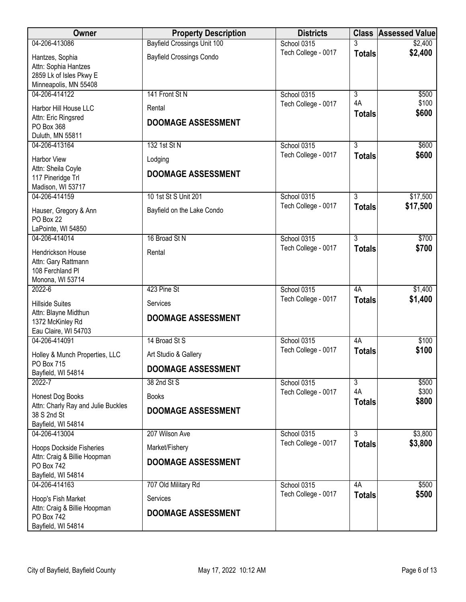| <b>Owner</b>                                                                                | <b>Property Description</b>           | <b>Districts</b>    |                     | <b>Class Assessed Value</b> |
|---------------------------------------------------------------------------------------------|---------------------------------------|---------------------|---------------------|-----------------------------|
| 04-206-413086                                                                               | <b>Bayfield Crossings Unit 100</b>    | School 0315         |                     | \$2,400                     |
| Hantzes, Sophia<br>Attn: Sophia Hantzes<br>2859 Lk of Isles Pkwy E<br>Minneapolis, MN 55408 | <b>Bayfield Crossings Condo</b>       | Tech College - 0017 | <b>Totals</b>       | \$2,400                     |
| 04-206-414122                                                                               | 141 Front St N                        | School 0315         | $\overline{3}$      | \$500                       |
| Harbor Hill House LLC<br>Attn: Eric Ringsred<br>PO Box 368<br>Duluth, MN 55811              | Rental<br><b>DOOMAGE ASSESSMENT</b>   | Tech College - 0017 | 4A<br><b>Totals</b> | \$100<br>\$600              |
| 04-206-413164                                                                               | 132 1st St N                          | School 0315         | 3                   | \$600                       |
| Harbor View                                                                                 | Lodging                               | Tech College - 0017 | <b>Totals</b>       | \$600                       |
| Attn: Sheila Coyle<br>117 Pineridge Trl<br>Madison, WI 53717                                | <b>DOOMAGE ASSESSMENT</b>             |                     |                     |                             |
| 04-206-414159                                                                               | 10 1st St S Unit 201                  | School 0315         | $\overline{3}$      | \$17,500                    |
| Hauser, Gregory & Ann<br>PO Box 22<br>LaPointe, WI 54850                                    | Bayfield on the Lake Condo            | Tech College - 0017 | <b>Totals</b>       | \$17,500                    |
| 04-206-414014                                                                               | 16 Broad St N                         | School 0315         | 3                   | \$700                       |
| Hendrickson House<br>Attn: Gary Rattmann<br>108 Ferchland Pl<br>Monona, WI 53714            | Rental                                | Tech College - 0017 | <b>Totals</b>       | \$700                       |
| $2022 - 6$                                                                                  | 423 Pine St                           | School 0315         | 4A                  | \$1,400                     |
| <b>Hillside Suites</b><br>Attn: Blayne Midthun<br>1372 McKinley Rd<br>Eau Claire, WI 54703  | Services<br><b>DOOMAGE ASSESSMENT</b> | Tech College - 0017 | <b>Totals</b>       | \$1,400                     |
| 04-206-414091                                                                               | 14 Broad St S                         | School 0315         | 4A                  | \$100                       |
| Holley & Munch Properties, LLC<br>PO Box 715                                                | Art Studio & Gallery                  | Tech College - 0017 | <b>Totals</b>       | \$100                       |
| Bayfield, WI 54814                                                                          | <b>DOOMAGE ASSESSMENT</b>             |                     |                     |                             |
| 2022-7                                                                                      | 38 2nd St S                           | School 0315         | $\overline{3}$      | \$500                       |
| Honest Dog Books                                                                            | <b>Books</b>                          | Tech College - 0017 | 4A<br><b>Totals</b> | \$300<br>\$800              |
| Attn: Charly Ray and Julie Buckles<br>38 S 2nd St<br>Bayfield, WI 54814                     | <b>DOOMAGE ASSESSMENT</b>             |                     |                     |                             |
| 04-206-413004                                                                               | 207 Wilson Ave                        | School 0315         | $\overline{3}$      | \$3,800                     |
| <b>Hoops Dockside Fisheries</b>                                                             | Market/Fishery                        | Tech College - 0017 | <b>Totals</b>       | \$3,800                     |
| Attn: Craig & Billie Hoopman<br><b>PO Box 742</b><br>Bayfield, WI 54814                     | <b>DOOMAGE ASSESSMENT</b>             |                     |                     |                             |
| 04-206-414163                                                                               | 707 Old Military Rd                   | School 0315         | 4A                  | \$500                       |
| Hoop's Fish Market                                                                          | Services                              | Tech College - 0017 | <b>Totals</b>       | \$500                       |
| Attn: Craig & Billie Hoopman<br><b>PO Box 742</b><br>Bayfield, WI 54814                     | <b>DOOMAGE ASSESSMENT</b>             |                     |                     |                             |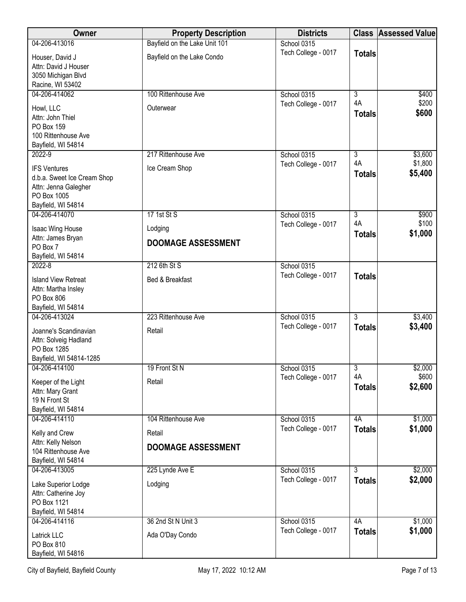| Owner                                     | <b>Property Description</b>   | <b>Districts</b>                   |                | <b>Class Assessed Value</b> |
|-------------------------------------------|-------------------------------|------------------------------------|----------------|-----------------------------|
| 04-206-413016                             | Bayfield on the Lake Unit 101 | School 0315                        |                |                             |
| Houser, David J                           | Bayfield on the Lake Condo    | Tech College - 0017                | <b>Totals</b>  |                             |
| Attn: David J Houser                      |                               |                                    |                |                             |
| 3050 Michigan Blvd<br>Racine, WI 53402    |                               |                                    |                |                             |
| 04-206-414062                             | 100 Rittenhouse Ave           | School 0315                        | $\overline{3}$ | \$400                       |
| Howl, LLC                                 | Outerwear                     | Tech College - 0017                | 4A             | \$200                       |
| Attn: John Thiel                          |                               |                                    | <b>Totals</b>  | \$600                       |
| PO Box 159                                |                               |                                    |                |                             |
| 100 Rittenhouse Ave<br>Bayfield, WI 54814 |                               |                                    |                |                             |
| 2022-9                                    | 217 Rittenhouse Ave           | School 0315                        | 3              | \$3,600                     |
| <b>IFS Ventures</b>                       | Ice Cream Shop                | Tech College - 0017                | 4A             | \$1,800                     |
| d.b.a. Sweet Ice Cream Shop               |                               |                                    | <b>Totals</b>  | \$5,400                     |
| Attn: Jenna Galegher                      |                               |                                    |                |                             |
| PO Box 1005                               |                               |                                    |                |                             |
| Bayfield, WI 54814<br>04-206-414070       | 17 1st St S                   | School 0315                        | $\overline{3}$ | \$900                       |
|                                           |                               | Tech College - 0017                | 4A             | \$100                       |
| Isaac Wing House<br>Attn: James Bryan     | Lodging                       |                                    | <b>Totals</b>  | \$1,000                     |
| PO Box 7                                  | <b>DOOMAGE ASSESSMENT</b>     |                                    |                |                             |
| Bayfield, WI 54814                        |                               |                                    |                |                             |
| $2022 - 8$                                | 212 6th St S                  | School 0315                        |                |                             |
| <b>Island View Retreat</b>                | Bed & Breakfast               | Tech College - 0017                | <b>Totals</b>  |                             |
| Attn: Martha Insley<br>PO Box 806         |                               |                                    |                |                             |
| Bayfield, WI 54814                        |                               |                                    |                |                             |
| 04-206-413024                             | 223 Rittenhouse Ave           | School 0315                        | $\overline{3}$ | \$3,400                     |
| Joanne's Scandinavian                     | Retail                        | Tech College - 0017                | <b>Totals</b>  | \$3,400                     |
| Attn: Solveig Hadland                     |                               |                                    |                |                             |
| PO Box 1285<br>Bayfield, WI 54814-1285    |                               |                                    |                |                             |
| 04-206-414100                             | 19 Front St N                 | School 0315                        | $\overline{3}$ | \$2,000                     |
| Keeper of the Light                       | Retail                        | Tech College - 0017                | 4A             | \$600                       |
| Attn: Mary Grant                          |                               |                                    | <b>Totals</b>  | \$2,600                     |
| 19 N Front St                             |                               |                                    |                |                             |
| Bayfield, WI 54814<br>04-206-414110       | 104 Rittenhouse Ave           |                                    | 4A             | \$1,000                     |
|                                           |                               | School 0315<br>Tech College - 0017 | <b>Totals</b>  | \$1,000                     |
| Kelly and Crew<br>Attn: Kelly Nelson      | Retail                        |                                    |                |                             |
| 104 Rittenhouse Ave                       | <b>DOOMAGE ASSESSMENT</b>     |                                    |                |                             |
| Bayfield, WI 54814                        |                               |                                    |                |                             |
| 04-206-413005                             | 225 Lynde Ave E               | School 0315                        | $\overline{3}$ | \$2,000                     |
| Lake Superior Lodge                       | Lodging                       | Tech College - 0017                | <b>Totals</b>  | \$2,000                     |
| Attn: Catherine Joy<br>PO Box 1121        |                               |                                    |                |                             |
| Bayfield, WI 54814                        |                               |                                    |                |                             |
| 04-206-414116                             | 36 2nd St N Unit 3            | School 0315                        | 4A             | \$1,000                     |
| Latrick LLC                               | Ada O'Day Condo               | Tech College - 0017                | <b>Totals</b>  | \$1,000                     |
| PO Box 810                                |                               |                                    |                |                             |
| Bayfield, WI 54816                        |                               |                                    |                |                             |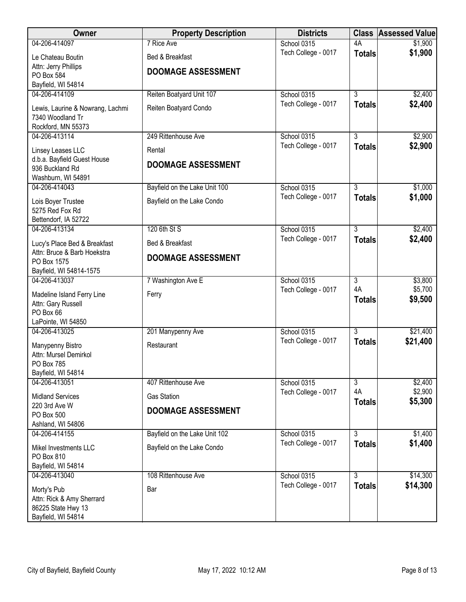| 04-206-414097<br>7 Rice Ave<br>4A<br>School 0315<br>\$1,900<br>\$1,900<br>Tech College - 0017<br><b>Totals</b><br>Bed & Breakfast<br>Le Chateau Boutin<br>Attn: Jerry Phillips<br><b>DOOMAGE ASSESSMENT</b><br>PO Box 584<br>Bayfield, WI 54814<br>04-206-414109<br>Reiten Boatyard Unit 107<br>$\overline{3}$<br>School 0315<br>\$2,400<br>Tech College - 0017<br>\$2,400<br><b>Totals</b><br>Reiten Boatyard Condo<br>Lewis, Laurine & Nowrang, Lachmi<br>7340 Woodland Tr<br>Rockford, MN 55373<br>$\overline{3}$<br>\$2,900<br>04-206-413114<br>249 Rittenhouse Ave<br>School 0315<br>Tech College - 0017<br>\$2,900<br><b>Totals</b><br>Rental<br>Linsey Leases LLC<br>d.b.a. Bayfield Guest House<br><b>DOOMAGE ASSESSMENT</b><br>936 Buckland Rd<br>Washburn, WI 54891<br>04-206-414043<br>Bayfield on the Lake Unit 100<br>$\overline{3}$<br>\$1,000<br>School 0315<br>\$1,000<br>Tech College - 0017<br><b>Totals</b><br>Bayfield on the Lake Condo<br>Lois Boyer Trustee<br>5275 Red Fox Rd<br>Bettendorf, IA 52722<br>120 6th St S<br>$\overline{3}$<br>\$2,400<br>04-206-413134<br>School 0315<br>Tech College - 0017<br>\$2,400<br><b>Totals</b><br>Lucy's Place Bed & Breakfast<br>Bed & Breakfast<br>Attn: Bruce & Barb Hoekstra<br><b>DOOMAGE ASSESSMENT</b><br>PO Box 1575<br>Bayfield, WI 54814-1575<br>\$3,800<br>04-206-413037<br>7 Washington Ave E<br>School 0315<br>$\overline{3}$<br>4A<br>\$5,700<br>Tech College - 0017<br>Ferry<br>Madeline Island Ferry Line<br>\$9,500<br><b>Totals</b><br>Attn: Gary Russell<br>PO Box 66<br>LaPointe, WI 54850<br>$\overline{3}$<br>04-206-413025<br>201 Manypenny Ave<br>School 0315<br>\$21,400<br>Tech College - 0017<br>\$21,400<br><b>Totals</b><br>Restaurant<br>Manypenny Bistro<br>Attn: Mursel Demirkol<br>PO Box 785<br>Bayfield, WI 54814<br>04-206-413051<br>$\overline{3}$<br>407 Rittenhouse Ave<br>School 0315<br>\$2,400<br>4A<br>\$2,900<br>Tech College - 0017<br><b>Gas Station</b><br><b>Midland Services</b><br>\$5,300<br><b>Totals</b><br>220 3rd Ave W<br><b>DOOMAGE ASSESSMENT</b><br><b>PO Box 500</b> | Owner | <b>Property Description</b> | <b>Districts</b> | <b>Class Assessed Value</b> |
|-------------------------------------------------------------------------------------------------------------------------------------------------------------------------------------------------------------------------------------------------------------------------------------------------------------------------------------------------------------------------------------------------------------------------------------------------------------------------------------------------------------------------------------------------------------------------------------------------------------------------------------------------------------------------------------------------------------------------------------------------------------------------------------------------------------------------------------------------------------------------------------------------------------------------------------------------------------------------------------------------------------------------------------------------------------------------------------------------------------------------------------------------------------------------------------------------------------------------------------------------------------------------------------------------------------------------------------------------------------------------------------------------------------------------------------------------------------------------------------------------------------------------------------------------------------------------------------------------------------------------------------------------------------------------------------------------------------------------------------------------------------------------------------------------------------------------------------------------------------------------------------------------------------------------------------------------------------------------------------------------------------------------------------------------------------------------------------------------|-------|-----------------------------|------------------|-----------------------------|
|                                                                                                                                                                                                                                                                                                                                                                                                                                                                                                                                                                                                                                                                                                                                                                                                                                                                                                                                                                                                                                                                                                                                                                                                                                                                                                                                                                                                                                                                                                                                                                                                                                                                                                                                                                                                                                                                                                                                                                                                                                                                                                 |       |                             |                  |                             |
|                                                                                                                                                                                                                                                                                                                                                                                                                                                                                                                                                                                                                                                                                                                                                                                                                                                                                                                                                                                                                                                                                                                                                                                                                                                                                                                                                                                                                                                                                                                                                                                                                                                                                                                                                                                                                                                                                                                                                                                                                                                                                                 |       |                             |                  |                             |
|                                                                                                                                                                                                                                                                                                                                                                                                                                                                                                                                                                                                                                                                                                                                                                                                                                                                                                                                                                                                                                                                                                                                                                                                                                                                                                                                                                                                                                                                                                                                                                                                                                                                                                                                                                                                                                                                                                                                                                                                                                                                                                 |       |                             |                  |                             |
|                                                                                                                                                                                                                                                                                                                                                                                                                                                                                                                                                                                                                                                                                                                                                                                                                                                                                                                                                                                                                                                                                                                                                                                                                                                                                                                                                                                                                                                                                                                                                                                                                                                                                                                                                                                                                                                                                                                                                                                                                                                                                                 |       |                             |                  |                             |
|                                                                                                                                                                                                                                                                                                                                                                                                                                                                                                                                                                                                                                                                                                                                                                                                                                                                                                                                                                                                                                                                                                                                                                                                                                                                                                                                                                                                                                                                                                                                                                                                                                                                                                                                                                                                                                                                                                                                                                                                                                                                                                 |       |                             |                  |                             |
|                                                                                                                                                                                                                                                                                                                                                                                                                                                                                                                                                                                                                                                                                                                                                                                                                                                                                                                                                                                                                                                                                                                                                                                                                                                                                                                                                                                                                                                                                                                                                                                                                                                                                                                                                                                                                                                                                                                                                                                                                                                                                                 |       |                             |                  |                             |
|                                                                                                                                                                                                                                                                                                                                                                                                                                                                                                                                                                                                                                                                                                                                                                                                                                                                                                                                                                                                                                                                                                                                                                                                                                                                                                                                                                                                                                                                                                                                                                                                                                                                                                                                                                                                                                                                                                                                                                                                                                                                                                 |       |                             |                  |                             |
|                                                                                                                                                                                                                                                                                                                                                                                                                                                                                                                                                                                                                                                                                                                                                                                                                                                                                                                                                                                                                                                                                                                                                                                                                                                                                                                                                                                                                                                                                                                                                                                                                                                                                                                                                                                                                                                                                                                                                                                                                                                                                                 |       |                             |                  |                             |
|                                                                                                                                                                                                                                                                                                                                                                                                                                                                                                                                                                                                                                                                                                                                                                                                                                                                                                                                                                                                                                                                                                                                                                                                                                                                                                                                                                                                                                                                                                                                                                                                                                                                                                                                                                                                                                                                                                                                                                                                                                                                                                 |       |                             |                  |                             |
|                                                                                                                                                                                                                                                                                                                                                                                                                                                                                                                                                                                                                                                                                                                                                                                                                                                                                                                                                                                                                                                                                                                                                                                                                                                                                                                                                                                                                                                                                                                                                                                                                                                                                                                                                                                                                                                                                                                                                                                                                                                                                                 |       |                             |                  |                             |
|                                                                                                                                                                                                                                                                                                                                                                                                                                                                                                                                                                                                                                                                                                                                                                                                                                                                                                                                                                                                                                                                                                                                                                                                                                                                                                                                                                                                                                                                                                                                                                                                                                                                                                                                                                                                                                                                                                                                                                                                                                                                                                 |       |                             |                  |                             |
|                                                                                                                                                                                                                                                                                                                                                                                                                                                                                                                                                                                                                                                                                                                                                                                                                                                                                                                                                                                                                                                                                                                                                                                                                                                                                                                                                                                                                                                                                                                                                                                                                                                                                                                                                                                                                                                                                                                                                                                                                                                                                                 |       |                             |                  |                             |
|                                                                                                                                                                                                                                                                                                                                                                                                                                                                                                                                                                                                                                                                                                                                                                                                                                                                                                                                                                                                                                                                                                                                                                                                                                                                                                                                                                                                                                                                                                                                                                                                                                                                                                                                                                                                                                                                                                                                                                                                                                                                                                 |       |                             |                  |                             |
|                                                                                                                                                                                                                                                                                                                                                                                                                                                                                                                                                                                                                                                                                                                                                                                                                                                                                                                                                                                                                                                                                                                                                                                                                                                                                                                                                                                                                                                                                                                                                                                                                                                                                                                                                                                                                                                                                                                                                                                                                                                                                                 |       |                             |                  |                             |
|                                                                                                                                                                                                                                                                                                                                                                                                                                                                                                                                                                                                                                                                                                                                                                                                                                                                                                                                                                                                                                                                                                                                                                                                                                                                                                                                                                                                                                                                                                                                                                                                                                                                                                                                                                                                                                                                                                                                                                                                                                                                                                 |       |                             |                  |                             |
|                                                                                                                                                                                                                                                                                                                                                                                                                                                                                                                                                                                                                                                                                                                                                                                                                                                                                                                                                                                                                                                                                                                                                                                                                                                                                                                                                                                                                                                                                                                                                                                                                                                                                                                                                                                                                                                                                                                                                                                                                                                                                                 |       |                             |                  |                             |
|                                                                                                                                                                                                                                                                                                                                                                                                                                                                                                                                                                                                                                                                                                                                                                                                                                                                                                                                                                                                                                                                                                                                                                                                                                                                                                                                                                                                                                                                                                                                                                                                                                                                                                                                                                                                                                                                                                                                                                                                                                                                                                 |       |                             |                  |                             |
|                                                                                                                                                                                                                                                                                                                                                                                                                                                                                                                                                                                                                                                                                                                                                                                                                                                                                                                                                                                                                                                                                                                                                                                                                                                                                                                                                                                                                                                                                                                                                                                                                                                                                                                                                                                                                                                                                                                                                                                                                                                                                                 |       |                             |                  |                             |
|                                                                                                                                                                                                                                                                                                                                                                                                                                                                                                                                                                                                                                                                                                                                                                                                                                                                                                                                                                                                                                                                                                                                                                                                                                                                                                                                                                                                                                                                                                                                                                                                                                                                                                                                                                                                                                                                                                                                                                                                                                                                                                 |       |                             |                  |                             |
|                                                                                                                                                                                                                                                                                                                                                                                                                                                                                                                                                                                                                                                                                                                                                                                                                                                                                                                                                                                                                                                                                                                                                                                                                                                                                                                                                                                                                                                                                                                                                                                                                                                                                                                                                                                                                                                                                                                                                                                                                                                                                                 |       |                             |                  |                             |
|                                                                                                                                                                                                                                                                                                                                                                                                                                                                                                                                                                                                                                                                                                                                                                                                                                                                                                                                                                                                                                                                                                                                                                                                                                                                                                                                                                                                                                                                                                                                                                                                                                                                                                                                                                                                                                                                                                                                                                                                                                                                                                 |       |                             |                  |                             |
|                                                                                                                                                                                                                                                                                                                                                                                                                                                                                                                                                                                                                                                                                                                                                                                                                                                                                                                                                                                                                                                                                                                                                                                                                                                                                                                                                                                                                                                                                                                                                                                                                                                                                                                                                                                                                                                                                                                                                                                                                                                                                                 |       |                             |                  |                             |
|                                                                                                                                                                                                                                                                                                                                                                                                                                                                                                                                                                                                                                                                                                                                                                                                                                                                                                                                                                                                                                                                                                                                                                                                                                                                                                                                                                                                                                                                                                                                                                                                                                                                                                                                                                                                                                                                                                                                                                                                                                                                                                 |       |                             |                  |                             |
|                                                                                                                                                                                                                                                                                                                                                                                                                                                                                                                                                                                                                                                                                                                                                                                                                                                                                                                                                                                                                                                                                                                                                                                                                                                                                                                                                                                                                                                                                                                                                                                                                                                                                                                                                                                                                                                                                                                                                                                                                                                                                                 |       |                             |                  |                             |
|                                                                                                                                                                                                                                                                                                                                                                                                                                                                                                                                                                                                                                                                                                                                                                                                                                                                                                                                                                                                                                                                                                                                                                                                                                                                                                                                                                                                                                                                                                                                                                                                                                                                                                                                                                                                                                                                                                                                                                                                                                                                                                 |       |                             |                  |                             |
|                                                                                                                                                                                                                                                                                                                                                                                                                                                                                                                                                                                                                                                                                                                                                                                                                                                                                                                                                                                                                                                                                                                                                                                                                                                                                                                                                                                                                                                                                                                                                                                                                                                                                                                                                                                                                                                                                                                                                                                                                                                                                                 |       |                             |                  |                             |
|                                                                                                                                                                                                                                                                                                                                                                                                                                                                                                                                                                                                                                                                                                                                                                                                                                                                                                                                                                                                                                                                                                                                                                                                                                                                                                                                                                                                                                                                                                                                                                                                                                                                                                                                                                                                                                                                                                                                                                                                                                                                                                 |       |                             |                  |                             |
|                                                                                                                                                                                                                                                                                                                                                                                                                                                                                                                                                                                                                                                                                                                                                                                                                                                                                                                                                                                                                                                                                                                                                                                                                                                                                                                                                                                                                                                                                                                                                                                                                                                                                                                                                                                                                                                                                                                                                                                                                                                                                                 |       |                             |                  |                             |
|                                                                                                                                                                                                                                                                                                                                                                                                                                                                                                                                                                                                                                                                                                                                                                                                                                                                                                                                                                                                                                                                                                                                                                                                                                                                                                                                                                                                                                                                                                                                                                                                                                                                                                                                                                                                                                                                                                                                                                                                                                                                                                 |       |                             |                  |                             |
|                                                                                                                                                                                                                                                                                                                                                                                                                                                                                                                                                                                                                                                                                                                                                                                                                                                                                                                                                                                                                                                                                                                                                                                                                                                                                                                                                                                                                                                                                                                                                                                                                                                                                                                                                                                                                                                                                                                                                                                                                                                                                                 |       |                             |                  |                             |
|                                                                                                                                                                                                                                                                                                                                                                                                                                                                                                                                                                                                                                                                                                                                                                                                                                                                                                                                                                                                                                                                                                                                                                                                                                                                                                                                                                                                                                                                                                                                                                                                                                                                                                                                                                                                                                                                                                                                                                                                                                                                                                 |       |                             |                  |                             |
|                                                                                                                                                                                                                                                                                                                                                                                                                                                                                                                                                                                                                                                                                                                                                                                                                                                                                                                                                                                                                                                                                                                                                                                                                                                                                                                                                                                                                                                                                                                                                                                                                                                                                                                                                                                                                                                                                                                                                                                                                                                                                                 |       |                             |                  |                             |
|                                                                                                                                                                                                                                                                                                                                                                                                                                                                                                                                                                                                                                                                                                                                                                                                                                                                                                                                                                                                                                                                                                                                                                                                                                                                                                                                                                                                                                                                                                                                                                                                                                                                                                                                                                                                                                                                                                                                                                                                                                                                                                 |       |                             |                  |                             |
|                                                                                                                                                                                                                                                                                                                                                                                                                                                                                                                                                                                                                                                                                                                                                                                                                                                                                                                                                                                                                                                                                                                                                                                                                                                                                                                                                                                                                                                                                                                                                                                                                                                                                                                                                                                                                                                                                                                                                                                                                                                                                                 |       |                             |                  |                             |
|                                                                                                                                                                                                                                                                                                                                                                                                                                                                                                                                                                                                                                                                                                                                                                                                                                                                                                                                                                                                                                                                                                                                                                                                                                                                                                                                                                                                                                                                                                                                                                                                                                                                                                                                                                                                                                                                                                                                                                                                                                                                                                 |       |                             |                  |                             |
|                                                                                                                                                                                                                                                                                                                                                                                                                                                                                                                                                                                                                                                                                                                                                                                                                                                                                                                                                                                                                                                                                                                                                                                                                                                                                                                                                                                                                                                                                                                                                                                                                                                                                                                                                                                                                                                                                                                                                                                                                                                                                                 |       |                             |                  |                             |
| Ashland, WI 54806                                                                                                                                                                                                                                                                                                                                                                                                                                                                                                                                                                                                                                                                                                                                                                                                                                                                                                                                                                                                                                                                                                                                                                                                                                                                                                                                                                                                                                                                                                                                                                                                                                                                                                                                                                                                                                                                                                                                                                                                                                                                               |       |                             |                  |                             |
| \$1,400<br>04-206-414155<br>Bayfield on the Lake Unit 102<br>$\overline{3}$<br>School 0315                                                                                                                                                                                                                                                                                                                                                                                                                                                                                                                                                                                                                                                                                                                                                                                                                                                                                                                                                                                                                                                                                                                                                                                                                                                                                                                                                                                                                                                                                                                                                                                                                                                                                                                                                                                                                                                                                                                                                                                                      |       |                             |                  |                             |
| Tech College - 0017<br>\$1,400<br><b>Totals</b>                                                                                                                                                                                                                                                                                                                                                                                                                                                                                                                                                                                                                                                                                                                                                                                                                                                                                                                                                                                                                                                                                                                                                                                                                                                                                                                                                                                                                                                                                                                                                                                                                                                                                                                                                                                                                                                                                                                                                                                                                                                 |       |                             |                  |                             |
| Bayfield on the Lake Condo<br>Mikel Investments LLC                                                                                                                                                                                                                                                                                                                                                                                                                                                                                                                                                                                                                                                                                                                                                                                                                                                                                                                                                                                                                                                                                                                                                                                                                                                                                                                                                                                                                                                                                                                                                                                                                                                                                                                                                                                                                                                                                                                                                                                                                                             |       |                             |                  |                             |
| PO Box 810<br>Bayfield, WI 54814                                                                                                                                                                                                                                                                                                                                                                                                                                                                                                                                                                                                                                                                                                                                                                                                                                                                                                                                                                                                                                                                                                                                                                                                                                                                                                                                                                                                                                                                                                                                                                                                                                                                                                                                                                                                                                                                                                                                                                                                                                                                |       |                             |                  |                             |
| $\overline{3}$<br>\$14,300<br>04-206-413040<br>School 0315<br>108 Rittenhouse Ave                                                                                                                                                                                                                                                                                                                                                                                                                                                                                                                                                                                                                                                                                                                                                                                                                                                                                                                                                                                                                                                                                                                                                                                                                                                                                                                                                                                                                                                                                                                                                                                                                                                                                                                                                                                                                                                                                                                                                                                                               |       |                             |                  |                             |
| \$14,300<br>Tech College - 0017<br><b>Totals</b>                                                                                                                                                                                                                                                                                                                                                                                                                                                                                                                                                                                                                                                                                                                                                                                                                                                                                                                                                                                                                                                                                                                                                                                                                                                                                                                                                                                                                                                                                                                                                                                                                                                                                                                                                                                                                                                                                                                                                                                                                                                |       |                             |                  |                             |
| Morty's Pub<br>Bar                                                                                                                                                                                                                                                                                                                                                                                                                                                                                                                                                                                                                                                                                                                                                                                                                                                                                                                                                                                                                                                                                                                                                                                                                                                                                                                                                                                                                                                                                                                                                                                                                                                                                                                                                                                                                                                                                                                                                                                                                                                                              |       |                             |                  |                             |
| Attn: Rick & Amy Sherrard<br>86225 State Hwy 13                                                                                                                                                                                                                                                                                                                                                                                                                                                                                                                                                                                                                                                                                                                                                                                                                                                                                                                                                                                                                                                                                                                                                                                                                                                                                                                                                                                                                                                                                                                                                                                                                                                                                                                                                                                                                                                                                                                                                                                                                                                 |       |                             |                  |                             |
| Bayfield, WI 54814                                                                                                                                                                                                                                                                                                                                                                                                                                                                                                                                                                                                                                                                                                                                                                                                                                                                                                                                                                                                                                                                                                                                                                                                                                                                                                                                                                                                                                                                                                                                                                                                                                                                                                                                                                                                                                                                                                                                                                                                                                                                              |       |                             |                  |                             |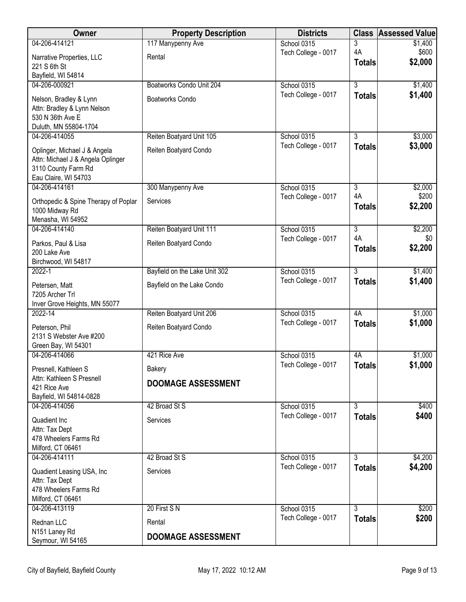| Owner                                                    | <b>Property Description</b>   | <b>Districts</b>                   |                | <b>Class Assessed Value</b> |
|----------------------------------------------------------|-------------------------------|------------------------------------|----------------|-----------------------------|
| 04-206-414121                                            | 117 Manypenny Ave             | School 0315                        | 3              | \$1,400                     |
| Narrative Properties, LLC                                | Rental                        | Tech College - 0017                | 4A             | \$600                       |
| 221 S 6th St                                             |                               |                                    | <b>Totals</b>  | \$2,000                     |
| Bayfield, WI 54814                                       |                               |                                    |                |                             |
| 04-206-000921                                            | Boatworks Condo Unit 204      | School 0315                        | $\overline{3}$ | \$1,400                     |
| Nelson, Bradley & Lynn                                   | <b>Boatworks Condo</b>        | Tech College - 0017                | <b>Totals</b>  | \$1,400                     |
| Attn: Bradley & Lynn Nelson                              |                               |                                    |                |                             |
| 530 N 36th Ave E                                         |                               |                                    |                |                             |
| Duluth, MN 55804-1704<br>04-206-414055                   | Reiten Boatyard Unit 105      | School 0315                        | $\overline{3}$ | \$3,000                     |
|                                                          |                               | Tech College - 0017                | <b>Totals</b>  | \$3,000                     |
| Oplinger, Michael J & Angela                             | Reiten Boatyard Condo         |                                    |                |                             |
| Attn: Michael J & Angela Oplinger<br>3110 County Farm Rd |                               |                                    |                |                             |
| Eau Claire, WI 54703                                     |                               |                                    |                |                             |
| 04-206-414161                                            | 300 Manypenny Ave             | School 0315                        | $\overline{3}$ | \$2,000                     |
|                                                          | Services                      | Tech College - 0017                | 4A             | \$200                       |
| Orthopedic & Spine Therapy of Poplar<br>1000 Midway Rd   |                               |                                    | <b>Totals</b>  | \$2,200                     |
| Menasha, WI 54952                                        |                               |                                    |                |                             |
| 04-206-414140                                            | Reiten Boatyard Unit 111      | School 0315                        | $\overline{3}$ | \$2,200                     |
| Parkos, Paul & Lisa                                      | Reiten Boatyard Condo         | Tech College - 0017                | 4A             | \$0                         |
| 200 Lake Ave                                             |                               |                                    | <b>Totals</b>  | \$2,200                     |
| Birchwood, WI 54817                                      |                               |                                    |                |                             |
| $2022 - 1$                                               | Bayfield on the Lake Unit 302 | School 0315                        | $\overline{3}$ | \$1,400                     |
| Petersen, Matt                                           | Bayfield on the Lake Condo    | Tech College - 0017                | <b>Totals</b>  | \$1,400                     |
| 7205 Archer Trl                                          |                               |                                    |                |                             |
| Inver Grove Heights, MN 55077                            |                               |                                    |                |                             |
| 2022-14                                                  | Reiten Boatyard Unit 206      | School 0315                        | 4A             | \$1,000                     |
| Peterson, Phil                                           | Reiten Boatyard Condo         | Tech College - 0017                | <b>Totals</b>  | \$1,000                     |
| 2131 S Webster Ave #200                                  |                               |                                    |                |                             |
| Green Bay, WI 54301                                      |                               |                                    |                |                             |
| 04-206-414066                                            | 421 Rice Ave                  | School 0315<br>Tech College - 0017 | 4A             | \$1,000                     |
| Presnell, Kathleen S                                     | Bakery                        |                                    | <b>Totals</b>  | \$1,000                     |
| Attn: Kathleen S Presnell                                | <b>DOOMAGE ASSESSMENT</b>     |                                    |                |                             |
| 421 Rice Ave<br>Bayfield, WI 54814-0828                  |                               |                                    |                |                             |
| 04-206-414056                                            | 42 Broad St S                 | School 0315                        | $\overline{3}$ | \$400                       |
|                                                          | Services                      | Tech College - 0017                | <b>Totals</b>  | \$400                       |
| Quadient Inc<br>Attn: Tax Dept                           |                               |                                    |                |                             |
| 478 Wheelers Farms Rd                                    |                               |                                    |                |                             |
| Milford, CT 06461                                        |                               |                                    |                |                             |
| 04-206-414111                                            | 42 Broad St S                 | School 0315                        | 3              | \$4,200                     |
| Quadient Leasing USA, Inc                                | Services                      | Tech College - 0017                | <b>Totals</b>  | \$4,200                     |
| Attn: Tax Dept                                           |                               |                                    |                |                             |
| 478 Wheelers Farms Rd                                    |                               |                                    |                |                             |
| Milford, CT 06461                                        |                               |                                    |                |                             |
| 04-206-413119                                            | 20 First SN                   | School 0315                        | $\overline{3}$ | \$200                       |
| Rednan LLC                                               | Rental                        | Tech College - 0017                | <b>Totals</b>  | \$200                       |
| N151 Laney Rd                                            | <b>DOOMAGE ASSESSMENT</b>     |                                    |                |                             |
| Seymour, WI 54165                                        |                               |                                    |                |                             |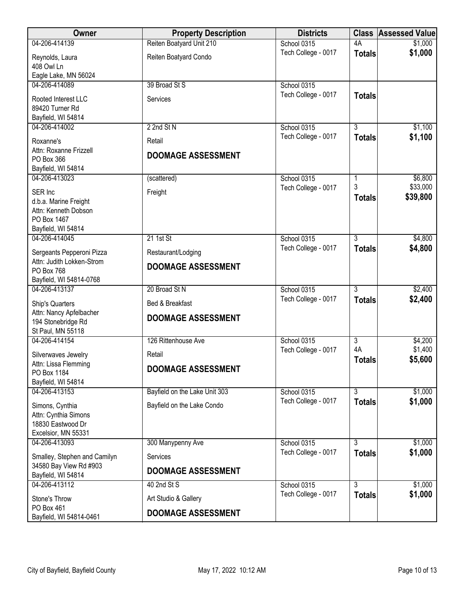| Owner                                                                               | <b>Property Description</b>   | <b>Districts</b>                   |                           | <b>Class Assessed Value</b> |
|-------------------------------------------------------------------------------------|-------------------------------|------------------------------------|---------------------------|-----------------------------|
| 04-206-414139                                                                       | Reiten Boatyard Unit 210      | School 0315                        | 4A                        | \$1,000                     |
| Reynolds, Laura<br>408 Owl Ln                                                       | Reiten Boatyard Condo         | Tech College - 0017                | <b>Totals</b>             | \$1,000                     |
| Eagle Lake, MN 56024                                                                |                               |                                    |                           |                             |
| 04-206-414089                                                                       | 39 Broad St S                 | School 0315                        |                           |                             |
| Rooted Interest LLC<br>89420 Turner Rd                                              | Services                      | Tech College - 0017                | <b>Totals</b>             |                             |
| Bayfield, WI 54814                                                                  |                               |                                    |                           |                             |
| 04-206-414002                                                                       | 2 2nd St N                    | School 0315                        | $\overline{3}$            | \$1,100                     |
| Roxanne's                                                                           | Retail                        | Tech College - 0017                | <b>Totals</b>             | \$1,100                     |
| Attn: Roxanne Frizzell<br>PO Box 366<br>Bayfield, WI 54814                          | <b>DOOMAGE ASSESSMENT</b>     |                                    |                           |                             |
| 04-206-413023                                                                       | (scattered)                   | School 0315                        | 1                         | \$6,800                     |
| SER Inc<br>d.b.a. Marine Freight<br>Attn: Kenneth Dobson<br>PO Box 1467             | Freight                       | Tech College - 0017                | 3<br><b>Totals</b>        | \$33,000<br>\$39,800        |
| Bayfield, WI 54814                                                                  |                               |                                    |                           |                             |
| 04-206-414045                                                                       | $21$ 1st St                   | School 0315<br>Tech College - 0017 | $\overline{3}$            | \$4,800<br>\$4,800          |
| Sergeants Pepperoni Pizza                                                           | Restaurant/Lodging            |                                    | <b>Totals</b>             |                             |
| Attn: Judith Lokken-Strom                                                           | <b>DOOMAGE ASSESSMENT</b>     |                                    |                           |                             |
| PO Box 768<br>Bayfield, WI 54814-0768                                               |                               |                                    |                           |                             |
| 04-206-413137                                                                       | 20 Broad St N                 | School 0315                        | 3                         | \$2,400                     |
| Ship's Quarters                                                                     | Bed & Breakfast               | Tech College - 0017                | <b>Totals</b>             | \$2,400                     |
| Attn: Nancy Apfelbacher                                                             |                               |                                    |                           |                             |
| 194 Stonebridge Rd                                                                  | <b>DOOMAGE ASSESSMENT</b>     |                                    |                           |                             |
| St Paul, MN 55118                                                                   |                               |                                    |                           |                             |
| 04-206-414154                                                                       | 126 Rittenhouse Ave           | School 0315                        | $\overline{3}$            | \$4,200                     |
| Silverwaves Jewelry                                                                 | Retail                        | Tech College - 0017                | 4A                        | \$1,400                     |
| Attn: Lissa Flemming                                                                | <b>DOOMAGE ASSESSMENT</b>     |                                    | <b>Totals</b>             | \$5,600                     |
| PO Box 1184                                                                         |                               |                                    |                           |                             |
| Bayfield, WI 54814<br>04-206-413153                                                 | Bayfield on the Lake Unit 303 | School 0315                        | $\overline{\overline{3}}$ | \$1,000                     |
|                                                                                     |                               | Tech College - 0017                | <b>Totals</b>             | \$1,000                     |
| Simons, Cynthia<br>Attn: Cynthia Simons<br>18830 Eastwood Dr<br>Excelsior, MN 55331 | Bayfield on the Lake Condo    |                                    |                           |                             |
| 04-206-413093                                                                       | 300 Manypenny Ave             | School 0315                        | $\overline{3}$            | \$1,000                     |
| Smalley, Stephen and Camilyn                                                        | Services                      | Tech College - 0017                | <b>Totals</b>             | \$1,000                     |
| 34580 Bay View Rd #903                                                              | <b>DOOMAGE ASSESSMENT</b>     |                                    |                           |                             |
| Bayfield, WI 54814                                                                  |                               |                                    | $\overline{3}$            |                             |
| 04-206-413112                                                                       | 40 2nd St S                   | School 0315<br>Tech College - 0017 | <b>Totals</b>             | \$1,000<br>\$1,000          |
| Stone's Throw                                                                       | Art Studio & Gallery          |                                    |                           |                             |
| PO Box 461<br>Bayfield, WI 54814-0461                                               | <b>DOOMAGE ASSESSMENT</b>     |                                    |                           |                             |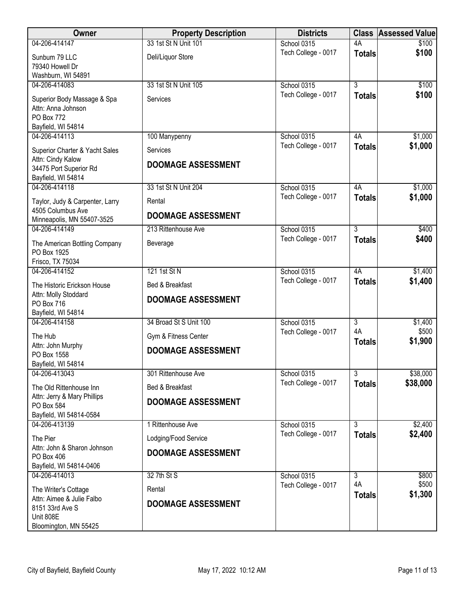| Owner                                                                                 | <b>Property Description</b> | <b>Districts</b>    | <b>Class</b>              | <b>Assessed Value</b> |
|---------------------------------------------------------------------------------------|-----------------------------|---------------------|---------------------------|-----------------------|
| 04-206-414147                                                                         | 33 1st St N Unit 101        | School 0315         | 4A                        | \$100                 |
| Sunbum 79 LLC<br>79340 Howell Dr                                                      | Deli/Liquor Store           | Tech College - 0017 | <b>Totals</b>             | \$100                 |
| Washburn, WI 54891                                                                    |                             |                     |                           |                       |
| 04-206-414083                                                                         | 33 1st St N Unit 105        | School 0315         | $\overline{3}$            | \$100                 |
| Superior Body Massage & Spa<br>Attn: Anna Johnson<br>PO Box 772<br>Bayfield, WI 54814 | Services                    | Tech College - 0017 | <b>Totals</b>             | \$100                 |
| 04-206-414113                                                                         | 100 Manypenny               | School 0315         | 4A                        | \$1,000               |
| Superior Charter & Yacht Sales                                                        | Services                    | Tech College - 0017 | <b>Totals</b>             | \$1,000               |
| Attn: Cindy Kalow<br>34475 Port Superior Rd<br>Bayfield, WI 54814                     | <b>DOOMAGE ASSESSMENT</b>   |                     |                           |                       |
| 04-206-414118                                                                         | 33 1st St N Unit 204        | School 0315         | 4A                        | \$1,000               |
| Taylor, Judy & Carpenter, Larry                                                       | Rental                      | Tech College - 0017 | <b>Totals</b>             | \$1,000               |
| 4505 Columbus Ave<br>Minneapolis, MN 55407-3525                                       | <b>DOOMAGE ASSESSMENT</b>   |                     |                           |                       |
| 04-206-414149                                                                         | 213 Rittenhouse Ave         | School 0315         | $\overline{3}$            | \$400                 |
| The American Bottling Company<br>PO Box 1925<br>Frisco, TX 75034                      | Beverage                    | Tech College - 0017 | <b>Totals</b>             | \$400                 |
| 04-206-414152                                                                         | 121 1st St N                | School 0315         | 4A                        | \$1,400               |
| The Historic Erickson House                                                           | Bed & Breakfast             | Tech College - 0017 | <b>Totals</b>             | \$1,400               |
| Attn: Molly Stoddard<br>PO Box 716<br>Bayfield, WI 54814                              | <b>DOOMAGE ASSESSMENT</b>   |                     |                           |                       |
| 04-206-414158                                                                         | 34 Broad St S Unit 100      | School 0315         | $\overline{3}$            | \$1,400               |
| The Hub                                                                               | Gym & Fitness Center        | Tech College - 0017 | 4A                        | \$500                 |
| Attn: John Murphy<br>PO Box 1558<br>Bayfield, WI 54814                                | <b>DOOMAGE ASSESSMENT</b>   |                     | <b>Totals</b>             | \$1,900               |
| 04-206-413043                                                                         | 301 Rittenhouse Ave         | School 0315         | $\overline{\overline{3}}$ | \$38,000              |
| The Old Rittenhouse Inn                                                               | Bed & Breakfast             | Tech College - 0017 | <b>Totals</b>             | \$38,000              |
| Attn: Jerry & Mary Phillips                                                           | <b>DOOMAGE ASSESSMENT</b>   |                     |                           |                       |
| PO Box 584<br>Bayfield, WI 54814-0584                                                 |                             |                     |                           |                       |
| 04-206-413139                                                                         | 1 Rittenhouse Ave           | School 0315         | $\overline{3}$            | \$2,400               |
| The Pier                                                                              | Lodging/Food Service        | Tech College - 0017 | <b>Totals</b>             | \$2,400               |
| Attn: John & Sharon Johnson                                                           | <b>DOOMAGE ASSESSMENT</b>   |                     |                           |                       |
| PO Box 406<br>Bayfield, WI 54814-0406                                                 |                             |                     |                           |                       |
| 04-206-414013                                                                         | 32 7th St S                 | School 0315         | $\overline{3}$            | \$800                 |
| The Writer's Cottage                                                                  | Rental                      | Tech College - 0017 | 4A                        | \$500                 |
| Attn: Aimee & Julie Falbo                                                             | <b>DOOMAGE ASSESSMENT</b>   |                     | <b>Totals</b>             | \$1,300               |
| 8151 33rd Ave S<br><b>Unit 808E</b><br>Bloomington, MN 55425                          |                             |                     |                           |                       |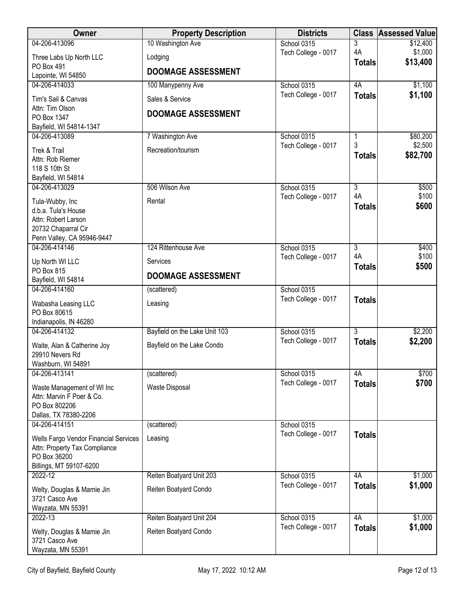| Owner                                                                                                              | <b>Property Description</b>                  | <b>Districts</b>    |                     | <b>Class Assessed Value</b> |
|--------------------------------------------------------------------------------------------------------------------|----------------------------------------------|---------------------|---------------------|-----------------------------|
| 04-206-413096                                                                                                      | 10 Washington Ave                            | School 0315         | 3                   | \$12,400                    |
| Three Labs Up North LLC                                                                                            | Lodging                                      | Tech College - 0017 | 4A                  | \$1,000<br>\$13,400         |
| PO Box 491<br>Lapointe, WI 54850                                                                                   | <b>DOOMAGE ASSESSMENT</b>                    |                     | <b>Totals</b>       |                             |
| 04-206-414033                                                                                                      | 100 Manypenny Ave                            | School 0315         | 4A                  | \$1,100                     |
| Tim's Sail & Canvas<br>Attn: Tim Olson<br>PO Box 1347                                                              | Sales & Service<br><b>DOOMAGE ASSESSMENT</b> | Tech College - 0017 | <b>Totals</b>       | \$1,100                     |
| Bayfield, WI 54814-1347                                                                                            |                                              |                     |                     |                             |
| 04-206-413089                                                                                                      | 7 Washington Ave                             | School 0315         | 1<br>3              | \$80,200<br>\$2,500         |
| Trek & Trail<br>Attn: Rob Riemer<br>118 S 10th St<br>Bayfield, WI 54814                                            | Recreation/tourism                           | Tech College - 0017 | <b>Totals</b>       | \$82,700                    |
| 04-206-413029                                                                                                      | 506 Wilson Ave                               | School 0315         | $\overline{3}$      | \$500                       |
| Tula-Wubby, Inc<br>d.b.a. Tula's House<br>Attn: Robert Larson<br>20732 Chaparral Cir<br>Penn Valley, CA 95946-9447 | Rental                                       | Tech College - 0017 | 4A<br><b>Totals</b> | \$100<br>\$600              |
| 04-206-414146                                                                                                      | 124 Rittenhouse Ave                          | School 0315         | 3                   | \$400                       |
| Up North WI LLC<br>PO Box 815                                                                                      | <b>Services</b>                              | Tech College - 0017 | 4A<br><b>Totals</b> | \$100<br>\$500              |
| Bayfield, WI 54814                                                                                                 | <b>DOOMAGE ASSESSMENT</b>                    |                     |                     |                             |
| 04-206-414160                                                                                                      | (scattered)                                  | School 0315         |                     |                             |
| Wabasha Leasing LLC<br>PO Box 80615                                                                                | Leasing                                      | Tech College - 0017 | <b>Totals</b>       |                             |
| Indianapolis, IN 46280<br>04-206-414132                                                                            | Bayfield on the Lake Unit 103                | School 0315         | $\overline{3}$      | \$2,200                     |
| Waite, Alan & Catherine Joy<br>29910 Nevers Rd                                                                     | Bayfield on the Lake Condo                   | Tech College - 0017 | <b>Totals</b>       | \$2,200                     |
| Washburn, WI 54891<br>04-206-413141                                                                                | (scattered)                                  | School 0315         | 4A                  | \$700                       |
| Waste Management of WI Inc<br>Attn: Marvin F Poer & Co.<br>PO Box 802206<br>Dallas, TX 78380-2206                  | Waste Disposal                               | Tech College - 0017 | <b>Totals</b>       | \$700                       |
| 04-206-414151                                                                                                      | (scattered)                                  | School 0315         |                     |                             |
| Wells Fargo Vendor Financial Services<br>Attn: Property Tax Compliance<br>PO Box 36200<br>Billings, MT 59107-6200  | Leasing                                      | Tech College - 0017 | <b>Totals</b>       |                             |
| 2022-12                                                                                                            | Reiten Boatyard Unit 203                     | School 0315         | 4A                  | \$1,000                     |
| Welty, Douglas & Mamie Jin<br>3721 Casco Ave                                                                       | Reiten Boatyard Condo                        | Tech College - 0017 | <b>Totals</b>       | \$1,000                     |
| Wayzata, MN 55391<br>2022-13                                                                                       | Reiten Boatyard Unit 204                     | School 0315         | 4A                  | \$1,000                     |
| Welty, Douglas & Mamie Jin<br>3721 Casco Ave<br>Wayzata, MN 55391                                                  | Reiten Boatyard Condo                        | Tech College - 0017 | <b>Totals</b>       | \$1,000                     |